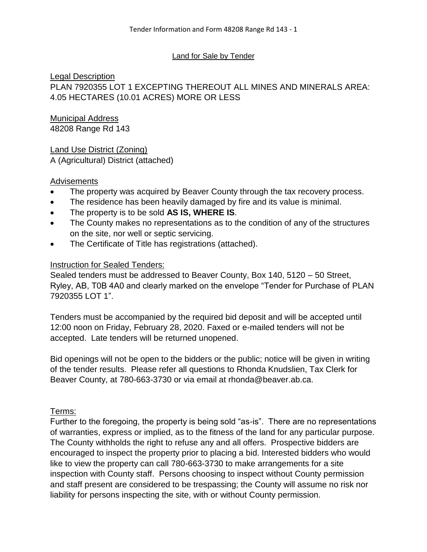#### Land for Sale by Tender

## Legal Description

PLAN 7920355 LOT 1 EXCEPTING THEREOUT ALL MINES AND MINERALS AREA: 4.05 HECTARES (10.01 ACRES) MORE OR LESS

#### Municipal Address 48208 Range Rd 143

# Land Use District (Zoning)

A (Agricultural) District (attached)

## **Advisements**

- The property was acquired by Beaver County through the tax recovery process.
- The residence has been heavily damaged by fire and its value is minimal.
- The property is to be sold **AS IS, WHERE IS**.
- The County makes no representations as to the condition of any of the structures on the site, nor well or septic servicing.
- The Certificate of Title has registrations (attached).

## Instruction for Sealed Tenders:

Sealed tenders must be addressed to Beaver County, Box 140, 5120 – 50 Street, Ryley, AB, T0B 4A0 and clearly marked on the envelope "Tender for Purchase of PLAN 7920355 LOT 1".

Tenders must be accompanied by the required bid deposit and will be accepted until 12:00 noon on Friday, February 28, 2020. Faxed or e-mailed tenders will not be accepted. Late tenders will be returned unopened.

Bid openings will not be open to the bidders or the public; notice will be given in writing of the tender results. Please refer all questions to Rhonda Knudslien, Tax Clerk for Beaver County, at 780-663-3730 or via email at rhonda@beaver.ab.ca.

## Terms:

Further to the foregoing, the property is being sold "as-is". There are no representations of warranties, express or implied, as to the fitness of the land for any particular purpose. The County withholds the right to refuse any and all offers. Prospective bidders are encouraged to inspect the property prior to placing a bid. Interested bidders who would like to view the property can call 780-663-3730 to make arrangements for a site inspection with County staff. Persons choosing to inspect without County permission and staff present are considered to be trespassing; the County will assume no risk nor liability for persons inspecting the site, with or without County permission.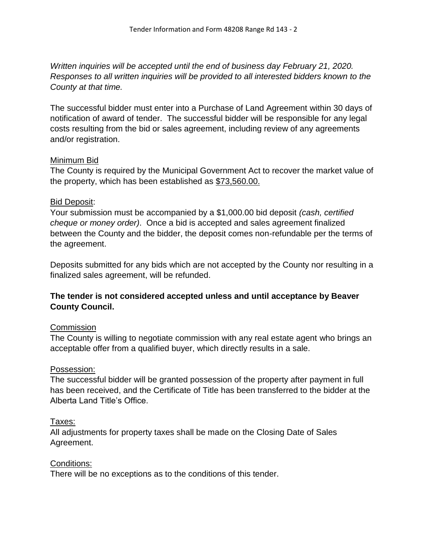*Written inquiries will be accepted until the end of business day February 21, 2020. Responses to all written inquiries will be provided to all interested bidders known to the County at that time.*

The successful bidder must enter into a Purchase of Land Agreement within 30 days of notification of award of tender. The successful bidder will be responsible for any legal costs resulting from the bid or sales agreement, including review of any agreements and/or registration.

#### Minimum Bid

The County is required by the Municipal Government Act to recover the market value of the property, which has been established as \$73,560.00.

#### Bid Deposit:

Your submission must be accompanied by a \$1,000.00 bid deposit *(cash, certified cheque or money order)*. Once a bid is accepted and sales agreement finalized between the County and the bidder, the deposit comes non-refundable per the terms of the agreement.

Deposits submitted for any bids which are not accepted by the County nor resulting in a finalized sales agreement, will be refunded.

## **The tender is not considered accepted unless and until acceptance by Beaver County Council.**

#### **Commission**

The County is willing to negotiate commission with any real estate agent who brings an acceptable offer from a qualified buyer, which directly results in a sale.

#### Possession:

The successful bidder will be granted possession of the property after payment in full has been received, and the Certificate of Title has been transferred to the bidder at the Alberta Land Title's Office.

#### Taxes:

All adjustments for property taxes shall be made on the Closing Date of Sales Agreement.

#### Conditions:

There will be no exceptions as to the conditions of this tender.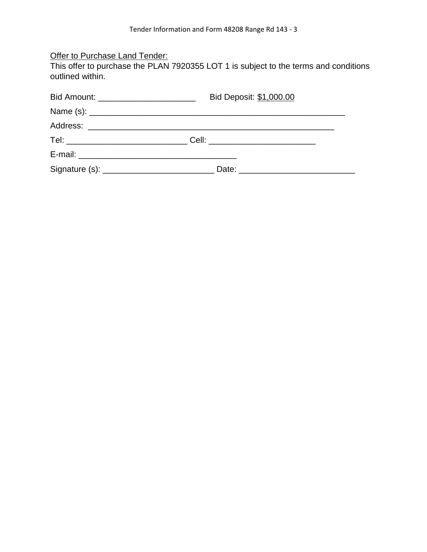## **Offer to Purchase Land Tender:**

This offer to purchase the PLAN 7920355 LOT 1 is subject to the terms and conditions outlined within.

| Bid Deposit: \$1,000.00<br>Bid Amount: __________________________     |  |  |  |
|-----------------------------------------------------------------------|--|--|--|
|                                                                       |  |  |  |
|                                                                       |  |  |  |
| Tel: _______________________________Cell: ___________________________ |  |  |  |
|                                                                       |  |  |  |
|                                                                       |  |  |  |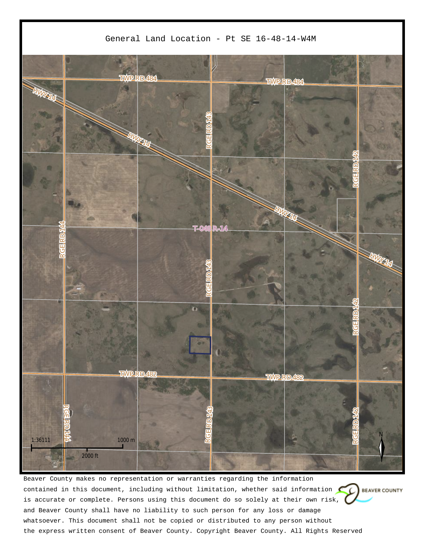

Beaver County makes no representation or warranties regarding the information contained in this document, including without limitation, whether said information  $\mathbb{C}$  BEAVER COUNTY is accurate or complete. Persons using this document do so solely at their own risk, and Beaver County shall have no liability to such person for any loss or damage whatsoever. This document shall not be copied or distributed to any person without the express written consent of Beaver County. Copyright Beaver County. All Rights Reserved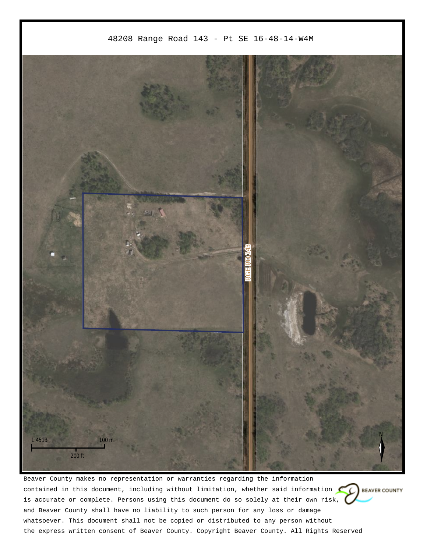

Beaver County makes no representation or warranties regarding the information contained in this document, including without limitation, whether said information  $\mathbb{C}$  BEAVER COUNTY is accurate or complete. Persons using this document do so solely at their own risk, and Beaver County shall have no liability to such person for any loss or damage whatsoever. This document shall not be copied or distributed to any person without the express written consent of Beaver County. Copyright Beaver County. All Rights Reserved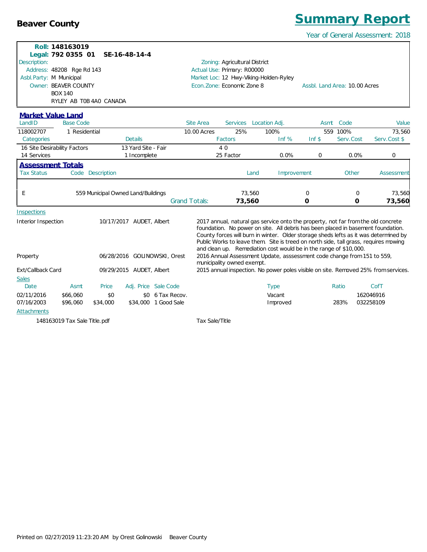**Inspections** 

*Beaver County Summary Report* Year of General Assessment: 2018 **Roll: 148163019 Legal: 792 0355 01 SE-16-48-14-4** Address: 48208 Rge Rd 143 Market Loc: 12 Hwy-Viking-Holden-Ryley Owner: BEAVER COUNTY The State of the Seconomic Zone: Economic Zone 8 Assbl. Land Area: 10.00 Acres Zoning: Agricultural District Description: Actual Use: Primary: R00000 Asbl.Party: M Municipal BOX 140 RYLEY AB T0B 4A0 CANADA LandID Base Code Site Area Services Location Adj. Asmt Code Value *Market Value Land* Code 118002707 1 Residential 10.00 Acres 25% 100% 559 100% 73,560 Categories Details Factors Inf % Inf \$ Serv.Cost Serv.Cost \$ 16 Site Desirability Factors 13 Yard Site - Fair 4 0 14 Services 1 Incomplete 25 Factor 0.0% 0 0.0% 0 Tax Status Code Description Land Improvement Other Assessment *Assessment Totals* E 559 Municipal Owned Land/Buildings 73,560 0 0 73,560 Grand Totals: **73,560 0 0 73,560** Interior Inspection 10/17/2017 AUDET, Albert 2017 annual, natural gas service onto the property, not far from the old concrete foundation. No power on site. All debris has been placed in basement foundation. County forces will burn in winter. Older storage sheds lefts as it was determined by Public Works to leave them. Site is treed on north side, tall grass, requires mowing and clean up. Remediation cost would be in the range of \$10,000. Property 06/28/2016 GOLINOWSKI, Orest 2016 Annual Assessment Update, asssessment code change from 151 to 559, municipality owned exempt. Ext/Callback Card 09/29/2015 AUDET, Albert 2015 annual inspection. No power poles visible on site. Removed 25% from services.

| <b>Sales</b>       |          |          |                      |          |       |                  |
|--------------------|----------|----------|----------------------|----------|-------|------------------|
| Date               | Asmt     | Price    | Adj. Price Sale Code | lype     | Ratio | Cof <sub>1</sub> |
| 02/11/2016         | \$66.060 | \$0      | \$0 6 Tax Recov.     | Vacant   |       | 162046916        |
| 07/16/2003         | \$96,060 | \$34,000 | \$34,000 1 Good Sale | Improved | 283%  | 032258109        |
| <b>Attachments</b> |          |          |                      |          |       |                  |

148163019 Tax Sale Title.pdf Tax Sale/Title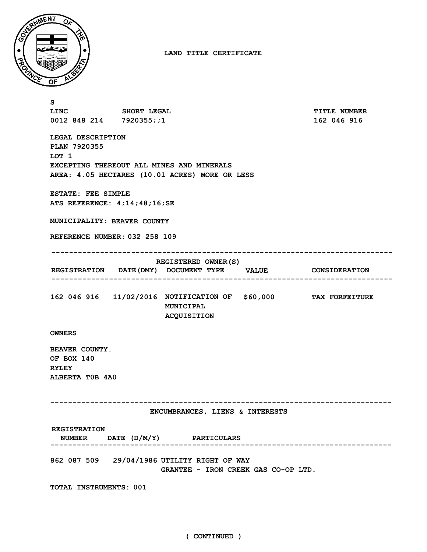

**LAND TITLE CERTIFICATE**

| s                                                                                                                                         |  |                                                                                                      |  |                     |  |  |  |
|-------------------------------------------------------------------------------------------------------------------------------------------|--|------------------------------------------------------------------------------------------------------|--|---------------------|--|--|--|
| LINC SHORT LEGAL                                                                                                                          |  |                                                                                                      |  | <b>TITLE NUMBER</b> |  |  |  |
| 0012 848 214 7920355;;1                                                                                                                   |  |                                                                                                      |  | 162 046 916         |  |  |  |
| LEGAL DESCRIPTION<br>PLAN 7920355<br>LOT 1<br>EXCEPTING THEREOUT ALL MINES AND MINERALS<br>AREA: 4.05 HECTARES (10.01 ACRES) MORE OR LESS |  |                                                                                                      |  |                     |  |  |  |
| ESTATE: FEE SIMPLE<br>ATS REFERENCE: $4;14;48;16;SE$                                                                                      |  |                                                                                                      |  |                     |  |  |  |
| MUNICIPALITY: BEAVER COUNTY                                                                                                               |  |                                                                                                      |  |                     |  |  |  |
| REFERENCE NUMBER: 032 258 109                                                                                                             |  |                                                                                                      |  |                     |  |  |  |
|                                                                                                                                           |  |                                                                                                      |  |                     |  |  |  |
|                                                                                                                                           |  | <b>REGISTERED OWNER (S)</b><br>REGISTRATION DATE (DMY) DOCUMENT TYPE VALUE CONSIDERATION             |  |                     |  |  |  |
|                                                                                                                                           |  |                                                                                                      |  |                     |  |  |  |
|                                                                                                                                           |  | 162 046 916  11/02/2016  NOTIFICATION OF \$60,000  TAX FORFEITURE<br>MUNICIPAL<br><b>ACQUISITION</b> |  |                     |  |  |  |
| <b>OWNERS</b>                                                                                                                             |  |                                                                                                      |  |                     |  |  |  |
| BEAVER COUNTY.<br>OF BOX 140<br><b>RYLEY</b><br>ALBERTA TOB 4A0                                                                           |  |                                                                                                      |  |                     |  |  |  |
| ENCUMBRANCES, LIENS & INTERESTS                                                                                                           |  |                                                                                                      |  |                     |  |  |  |
| <b>REGISTRATION</b>                                                                                                                       |  | NUMBER DATE (D/M/Y) PARTICULARS                                                                      |  |                     |  |  |  |
| 862 087 509 29/04/1986 UTILITY RIGHT OF WAY<br>GRANTEE - IRON CREEK GAS CO-OP LTD.                                                        |  |                                                                                                      |  |                     |  |  |  |
| TOTAL INSTRUMENTS: 001                                                                                                                    |  |                                                                                                      |  |                     |  |  |  |